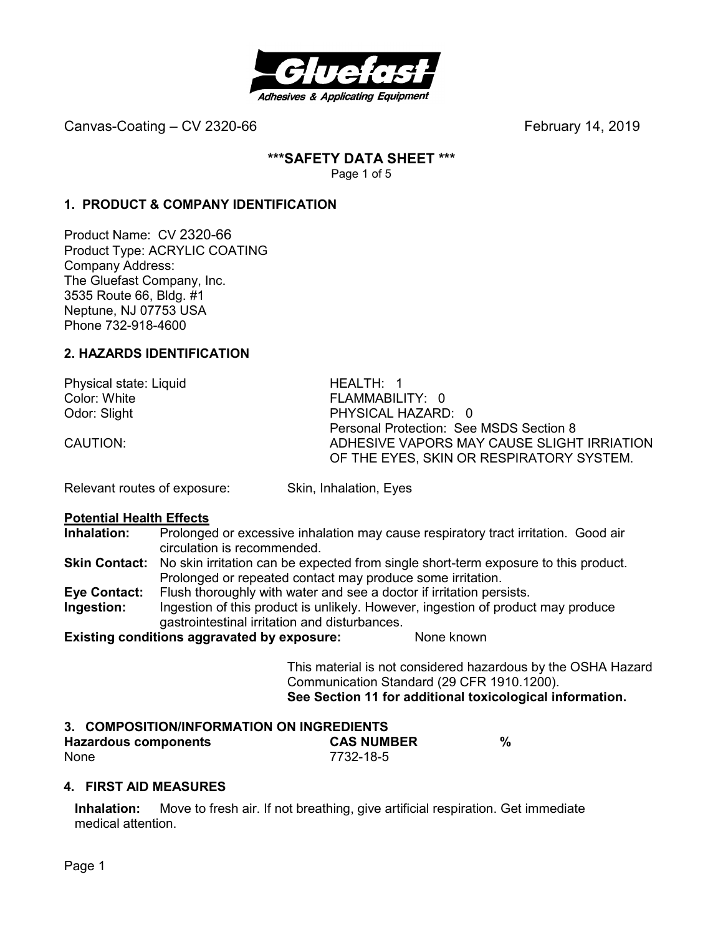

**\*\*\*SAFETY DATA SHEET \*\*\*** 

Page 1 of 5

# **1. PRODUCT & COMPANY IDENTIFICATION**

Product Name: CV 2320-66 Product Type: ACRYLIC COATING Company Address: The Gluefast Company, Inc. 3535 Route 66, Bldg. #1 Neptune, NJ 07753 USA Phone 732-918-4600

# **2. HAZARDS IDENTIFICATION**

Physical state: Liquid **HEALTH: 1**<br>Color: White **Highland** Health Heath Odor: Slight PHYSICAL HAZARD: 0

FLAMMABILITY: 0 Personal Protection: See MSDS Section 8 CAUTION: ADHESIVE VAPORS MAY CAUSE SLIGHT IRRIATION OF THE EYES, SKIN OR RESPIRATORY SYSTEM.

Relevant routes of exposure: Skin, Inhalation, Eyes

# **Potential Health Effects**<br>**Inhalation:** Prolonge

**Inhalation:** Prolonged or excessive inhalation may cause respiratory tract irritation. Good air circulation is recommended.

- **Skin Contact:** No skin irritation can be expected from single short-term exposure to this product. Prolonged or repeated contact may produce some irritation.
- **Eye Contact:** Flush thoroughly with water and see a doctor if irritation persists.
- **Ingestion:** Ingestion of this product is unlikely. However, ingestion of product may produce gastrointestinal irritation and disturbances.

**Existing conditions aggravated by exposure:** None known

This material is not considered hazardous by the OSHA Hazard Communication Standard (29 CFR 1910.1200). **See Section 11 for additional toxicological information.** 

# **3. COMPOSITION/INFORMATION ON INGREDIENTS**

| <b>Hazardous components</b> | <b>CAS NUMBER</b> |  |
|-----------------------------|-------------------|--|
| None                        | 7732-18-5         |  |

#### **4. FIRST AID MEASURES**

**Inhalation:** Move to fresh air. If not breathing, give artificial respiration. Get immediate medical attention.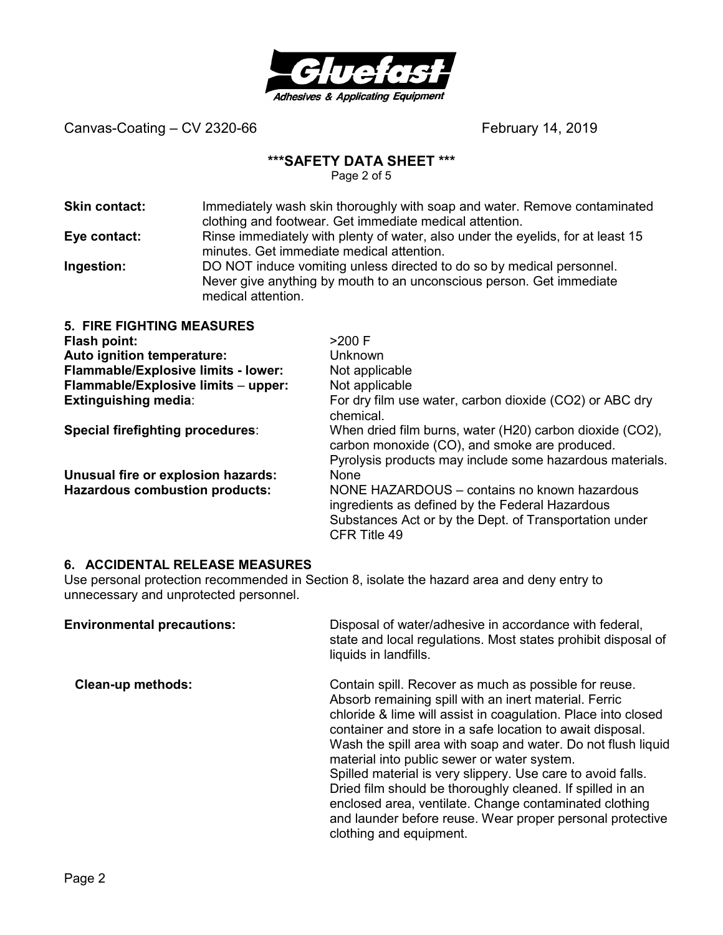

#### **\*\*\*SAFETY DATA SHEET \*\*\***

Page 2 of 5

| <b>Skin contact:</b> | Immediately wash skin thoroughly with soap and water. Remove contaminated       |
|----------------------|---------------------------------------------------------------------------------|
|                      | clothing and footwear. Get immediate medical attention.                         |
| Eye contact:         | Rinse immediately with plenty of water, also under the eyelids, for at least 15 |
|                      | minutes. Get immediate medical attention.                                       |
| Ingaetion:           | DO NOT induce vamiting unless directed to do so by medical personnel            |

**Ingestion:** DO NOT induce vomiting unless directed to do so by medical personnel. Never give anything by mouth to an unconscious person. Get immediate medical attention.

| <b>5. FIRE FIGHTING MEASURES</b>      |                                                                                                                                                                           |
|---------------------------------------|---------------------------------------------------------------------------------------------------------------------------------------------------------------------------|
| Flash point:                          | $>200$ F                                                                                                                                                                  |
| Auto ignition temperature:            | <b>Unknown</b>                                                                                                                                                            |
| Flammable/Explosive limits - lower:   | Not applicable                                                                                                                                                            |
| Flammable/Explosive limits - upper:   | Not applicable                                                                                                                                                            |
| <b>Extinguishing media:</b>           | For dry film use water, carbon dioxide (CO2) or ABC dry<br>chemical.                                                                                                      |
| Special firefighting procedures:      | When dried film burns, water (H20) carbon dioxide (CO2),<br>carbon monoxide (CO), and smoke are produced.<br>Pyrolysis products may include some hazardous materials.     |
| Unusual fire or explosion hazards:    | <b>None</b>                                                                                                                                                               |
| <b>Hazardous combustion products:</b> | NONE HAZARDOUS - contains no known hazardous<br>ingredients as defined by the Federal Hazardous<br>Substances Act or by the Dept. of Transportation under<br>CFR Title 49 |

#### **6. ACCIDENTAL RELEASE MEASURES**

Use personal protection recommended in Section 8, isolate the hazard area and deny entry to unnecessary and unprotected personnel.

| <b>Environmental precautions:</b> | Disposal of water/adhesive in accordance with federal,<br>state and local regulations. Most states prohibit disposal of<br>liquids in landfills.                                                                                                                                                                                                                                                                                                                                                                                                                                                                                          |
|-----------------------------------|-------------------------------------------------------------------------------------------------------------------------------------------------------------------------------------------------------------------------------------------------------------------------------------------------------------------------------------------------------------------------------------------------------------------------------------------------------------------------------------------------------------------------------------------------------------------------------------------------------------------------------------------|
| <b>Clean-up methods:</b>          | Contain spill. Recover as much as possible for reuse.<br>Absorb remaining spill with an inert material. Ferric<br>chloride & lime will assist in coagulation. Place into closed<br>container and store in a safe location to await disposal.<br>Wash the spill area with soap and water. Do not flush liquid<br>material into public sewer or water system.<br>Spilled material is very slippery. Use care to avoid falls.<br>Dried film should be thoroughly cleaned. If spilled in an<br>enclosed area, ventilate. Change contaminated clothing<br>and launder before reuse. Wear proper personal protective<br>clothing and equipment. |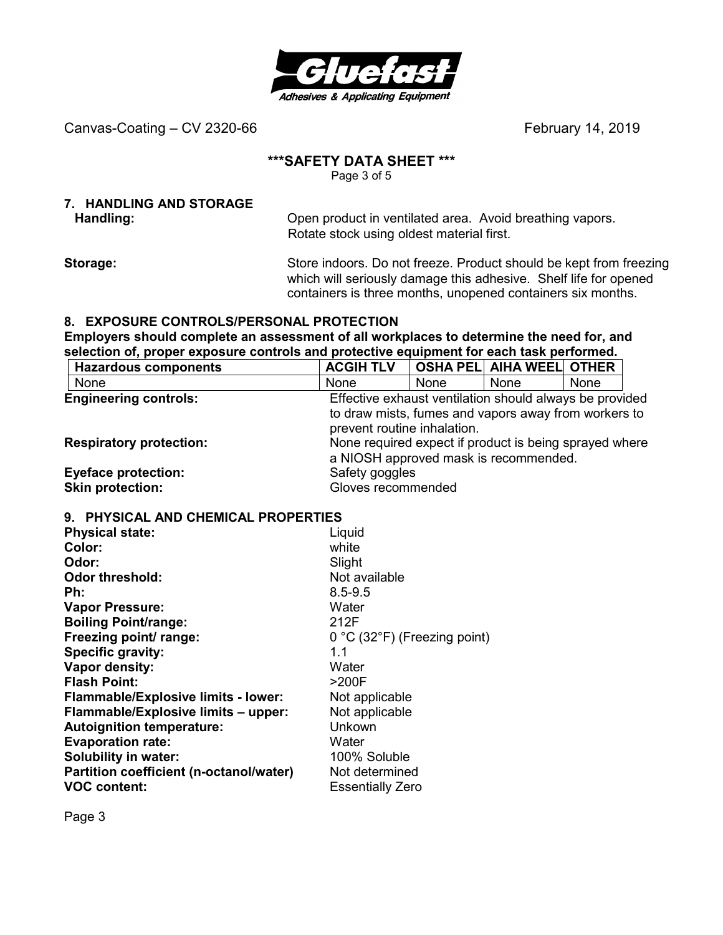

#### **\*\*\*SAFETY DATA SHEET \*\*\***

Page 3 of 5

# **7. HANDLING AND STORAGE**

Handling: **Handling: C** Pen product in ventilated area. Avoid breathing vapors. Rotate stock using oldest material first.

**Storage:** Store indoors. Do not freeze. Product should be kept from freezing which will seriously damage this adhesive. Shelf life for opened containers is three months, unopened containers six months.

#### **8. EXPOSURE CONTROLS/PERSONAL PROTECTION**

**Employers should complete an assessment of all workplaces to determine the need for, and selection of, proper exposure controls and protective equipment for each task performed.** 

| <b>Hazardous components</b>    | <b>ACGIH TLV</b>                                                                                |      | <b>OSHA PEL AIHA WEEL OTHER</b>                      |      |  |
|--------------------------------|-------------------------------------------------------------------------------------------------|------|------------------------------------------------------|------|--|
| None                           | None                                                                                            | None | <b>None</b>                                          | None |  |
| <b>Engineering controls:</b>   | Effective exhaust ventilation should always be provided                                         |      |                                                      |      |  |
|                                | prevent routine inhalation.                                                                     |      | to draw mists, fumes and vapors away from workers to |      |  |
| <b>Respiratory protection:</b> | None required expect if product is being sprayed where<br>a NIOSH approved mask is recommended. |      |                                                      |      |  |
| <b>Eyeface protection:</b>     | Safety goggles                                                                                  |      |                                                      |      |  |
| <b>Skin protection:</b>        | Gloves recommended                                                                              |      |                                                      |      |  |

#### **9. PHYSICAL AND CHEMICAL PROPERTIES**

| <b>Physical state:</b>                     | Liquid                                           |
|--------------------------------------------|--------------------------------------------------|
| Color:                                     | white                                            |
| Odor:                                      | Slight                                           |
| Odor threshold:                            | Not available                                    |
| Ph:                                        | $8.5 - 9.5$                                      |
| <b>Vapor Pressure:</b>                     | Water                                            |
| <b>Boiling Point/range:</b>                | 212F                                             |
| Freezing point/ range:                     | $0^{\circ}$ C (32 $^{\circ}$ F) (Freezing point) |
| Specific gravity:                          | 1.1                                              |
| Vapor density:                             | Water                                            |
| <b>Flash Point:</b>                        | >200F                                            |
| <b>Flammable/Explosive limits - lower:</b> | Not applicable                                   |
| Flammable/Explosive limits - upper:        | Not applicable                                   |
| <b>Autoignition temperature:</b>           | Unkown                                           |
| <b>Evaporation rate:</b>                   | Water                                            |
| Solubility in water:                       | 100% Soluble                                     |
| Partition coefficient (n-octanol/water)    | Not determined                                   |
| <b>VOC content:</b>                        | <b>Essentially Zero</b>                          |

Page 3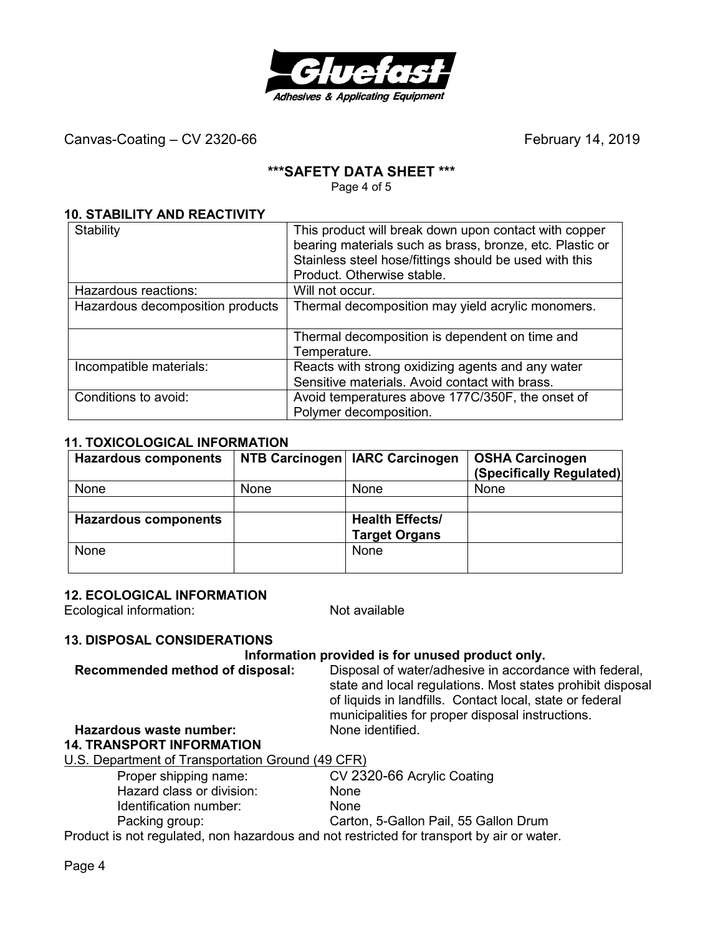

#### **\*\*\*SAFETY DATA SHEET \*\*\***

Page 4 of 5

#### **10. STABILITY AND REACTIVITY**

| Stability                        | This product will break down upon contact with copper<br>bearing materials such as brass, bronze, etc. Plastic or<br>Stainless steel hose/fittings should be used with this<br>Product. Otherwise stable. |
|----------------------------------|-----------------------------------------------------------------------------------------------------------------------------------------------------------------------------------------------------------|
| Hazardous reactions:             | Will not occur.                                                                                                                                                                                           |
| Hazardous decomposition products | Thermal decomposition may yield acrylic monomers.                                                                                                                                                         |
|                                  | Thermal decomposition is dependent on time and<br>Temperature.                                                                                                                                            |
| Incompatible materials:          | Reacts with strong oxidizing agents and any water<br>Sensitive materials. Avoid contact with brass.                                                                                                       |
| Conditions to avoid:             | Avoid temperatures above 177C/350F, the onset of<br>Polymer decomposition.                                                                                                                                |

#### **11. TOXICOLOGICAL INFORMATION**

| <b>Hazardous components</b> |      | NTB Carcinogen   IARC Carcinogen               | <b>OSHA Carcinogen</b><br>(Specifically Regulated) |
|-----------------------------|------|------------------------------------------------|----------------------------------------------------|
| <b>None</b>                 | None | <b>None</b>                                    | <b>None</b>                                        |
| <b>Hazardous components</b> |      | <b>Health Effects/</b><br><b>Target Organs</b> |                                                    |
| <b>None</b>                 |      | <b>None</b>                                    |                                                    |

#### **12. ECOLOGICAL INFORMATION**

Ecological information: Not available

#### **13. DISPOSAL CONSIDERATIONS**

#### **Information provided is for unused product only.**

**Recommended method of disposal:** Disposal of water/adhesive in accordance with federal, state and local regulations. Most states prohibit disposal of liquids in landfills. Contact local, state or federal municipalities for proper disposal instructions.

# **Hazardous waste number:**

#### **14. TRANSPORT INFORMATION**

U.S. Department of Transportation Ground (49 CFR)

| Proper shipping name:     | CV 2320-66 Acrylic Coating |
|---------------------------|----------------------------|
| Hazard class or division: | <b>None</b>                |
| Identification number:    | <b>None</b>                |

Packing group: Carton, 5-Gallon Pail, 55 Gallon Drum

Product is not regulated, non hazardous and not restricted for transport by air or water.